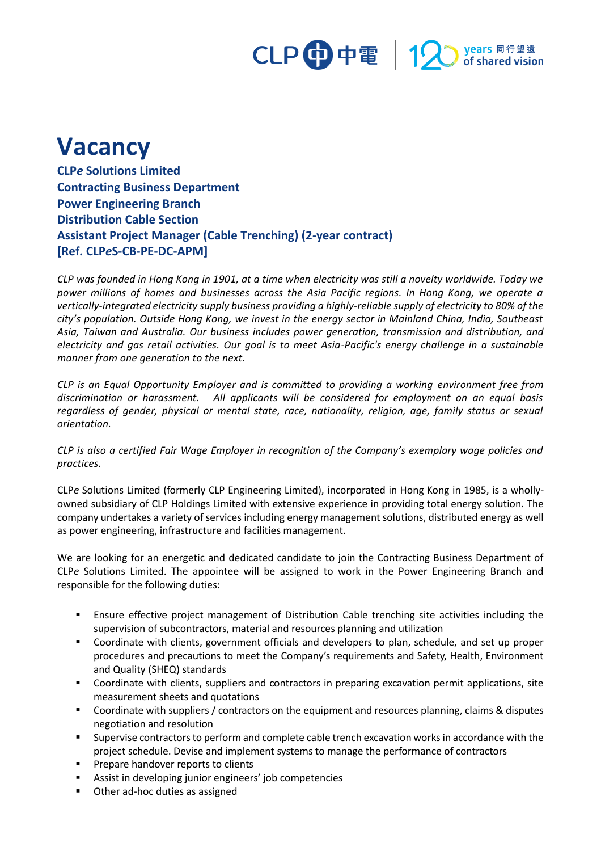# CLP 中電 | 12 Myears 同行望遠

## **Vacancy**

**CLP***e* **Solutions Limited Contracting Business Department Power Engineering Branch Distribution Cable Section Assistant Project Manager (Cable Trenching) (2-year contract) [Ref. CLP***e***S-CB-PE-DC-APM]**

*CLP was founded in Hong Kong in 1901, at a time when electricity was still a novelty worldwide. Today we power millions of homes and businesses across the Asia Pacific regions. In Hong Kong, we operate a vertically-integrated electricity supply business providing a highly-reliable supply of electricity to 80% of the city's population. Outside Hong Kong, we invest in the energy sector in Mainland China, India, Southeast Asia, Taiwan and Australia. Our business includes power generation, transmission and distribution, and electricity and gas retail activities. Our goal is to meet Asia-Pacific's energy challenge in a sustainable manner from one generation to the next.*

*CLP is an Equal Opportunity Employer and is committed to providing a working environment free from discrimination or harassment. All applicants will be considered for employment on an equal basis regardless of gender, physical or mental state, race, nationality, religion, age, family status or sexual orientation.*

*CLP is also a certified Fair Wage Employer in recognition of the Company's exemplary wage policies and practices.*

CLP*e* Solutions Limited (formerly CLP Engineering Limited), incorporated in Hong Kong in 1985, is a whollyowned subsidiary of CLP Holdings Limited with extensive experience in providing total energy solution. The company undertakes a variety of services including energy management solutions, distributed energy as well as power engineering, infrastructure and facilities management.

We are looking for an energetic and dedicated candidate to join the Contracting Business Department of CLP*e* Solutions Limited. The appointee will be assigned to work in the Power Engineering Branch and responsible for the following duties:

- **E** Ensure effective project management of Distribution Cable trenching site activities including the supervision of subcontractors, material and resources planning and utilization
- Coordinate with clients, government officials and developers to plan, schedule, and set up proper procedures and precautions to meet the Company's requirements and Safety, Health, Environment and Quality (SHEQ) standards
- Coordinate with clients, suppliers and contractors in preparing excavation permit applications, site measurement sheets and quotations
- Coordinate with suppliers / contractors on the equipment and resources planning, claims & disputes negotiation and resolution
- Supervise contractors to perform and complete cable trench excavation works in accordance with the project schedule. Devise and implement systems to manage the performance of contractors
- Prepare handover reports to clients
- Assist in developing junior engineers' job competencies
- Other ad-hoc duties as assigned